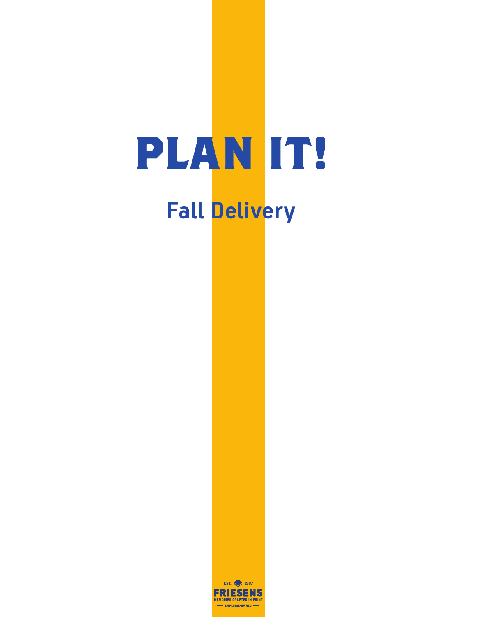# **PLAN IT! Fall Delivery**

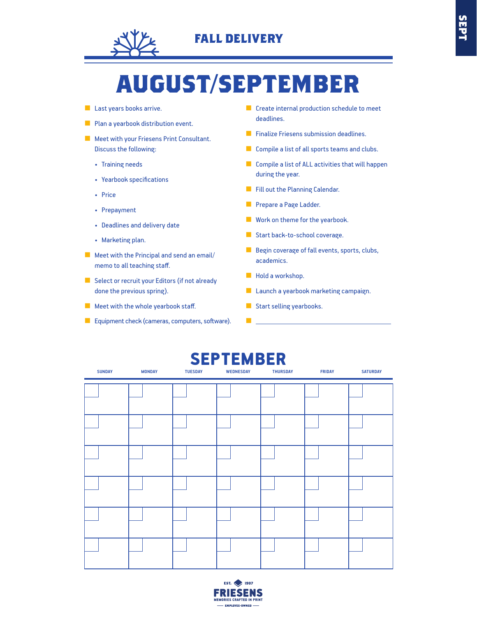

# **AUGUST/SEPTEMBER**

- Last years books arrive.
- Plan a yearbook distribution event.
- Meet with your Friesens Print Consultant. Discuss the following:
	- Training needs
	- Yearbook specifications
	- Price
	- Prepayment
	- Deadlines and delivery date
	- Marketing plan.
- Meet with the Principal and send an email/ memo to all teaching staff.
- Select or recruit your Editors (if not already done the previous spring).
- Meet with the whole yearbook staff.
- Equipment check (cameras, computers, software).
- Create internal production schedule to meet deadlines.
- Finalize Friesens submission deadlines.
- Compile a list of all sports teams and clubs.
- Compile a list of ALL activities that will happen during the year.
- Fill out the Planning Calendar.
- Prepare a Page Ladder.
- Work on theme for the yearbook.
- Start back-to-school coverage.
- Begin coverage of fall events, sports, clubs, academics.
- Hold a workshop.

■

- Launch a yearbook marketing campaign.
- Start selling yearbooks.



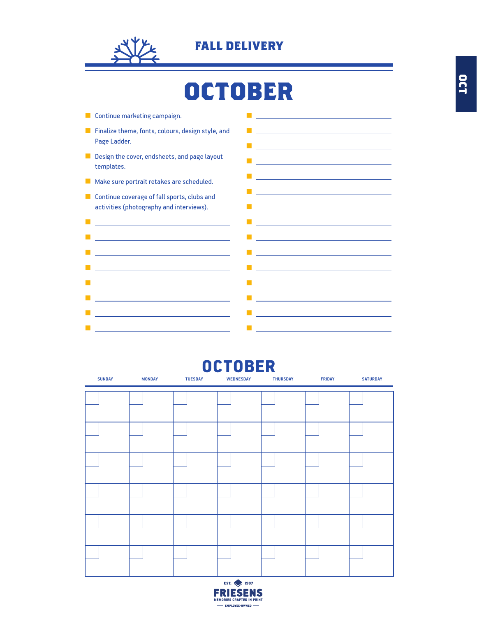

# **OCTOBER**

| Continue marketing campaign.                                                                                        | the control of the control of the control of the control of the control of the control of                                                                                  |
|---------------------------------------------------------------------------------------------------------------------|----------------------------------------------------------------------------------------------------------------------------------------------------------------------------|
| Finalize theme, fonts, colours, design style, and<br>Page Ladder.                                                   | <u> 1989 - Johann Barbara, martxa alemaniar a</u><br><u> 1989 - Johann Barn, mars eta bainar eta bainar eta baina eta baina eta baina eta baina eta baina eta baina e</u>  |
| Design the cover, endsheets, and page layout<br>templates.                                                          | <u> 1980 - Johann Barn, mars an t-Amerikaansk ferskeiz (* 1918)</u>                                                                                                        |
| Make sure portrait retakes are scheduled.                                                                           | <u> 1980 - Johann Barn, amerikansk politiker (</u>                                                                                                                         |
| Continue coverage of fall sports, clubs and<br>activities (photography and interviews).                             | <u> 1980 - Johann Barn, amerikansk politiker (</u><br><u> 1989 - Johann Stein, marwolaethau a bhann an t-Amhair an t-Amhair an t-Amhair an t-Amhair an t-Amhair an t-A</u> |
| <u> 1989 - Johann Barbara, martxa alemaniar arg</u>                                                                 |                                                                                                                                                                            |
| <u> 1989 - Johann Barn, mars eta bainar eta idazlea (</u>                                                           | <u> 1989 - Johann Barn, mars eta bainar eta bainar eta baina eta baina eta baina eta baina eta baina eta baina e</u>                                                       |
| <u> 1989 - Johann Stoff, fransk politik (d. 1989)</u>                                                               | <u> 1980 - Jan Sterlinger, fransk politiker (d. 1980)</u>                                                                                                                  |
| <u> 1980 - Johann Barn, mars ann an t-Amhain an t-Amhain an t-Amhain an t-Amhain an t-Amhain an t-Amhain an t-A</u> | <u> 1989 - Johann Barn, mars eta bainar eta idazlea (</u>                                                                                                                  |
|                                                                                                                     |                                                                                                                                                                            |
| <u> 1989 - Johann Stein, mars et al. (b. 1989)</u>                                                                  | <u> 1989 - Johann Stein, fransk politik (d. 1989)</u>                                                                                                                      |
| <u> 1980 - Johann Barn, mars ann an t-Amhain an t-Amhain an t-Amhain an t-Amhain an t-Amhain an t-Amhain an t-A</u> | <u> 1980 - Johann Barn, mars ann an t-Amhain an t-Amhain an t-Amhain an t-Amhain an t-Amhain an t-Amhain an t-A</u>                                                        |
| <u> 1989 - Johann Barbara, martxa alemaniar a</u>                                                                   | <u> 1989 - Andrea Stadt Britain, fransk politik (</u>                                                                                                                      |
|                                                                                                                     |                                                                                                                                                                            |

### $\overline{OCTOBER}$

| <b>SUNDAY</b> | <b>MONDAY</b> | <b>TUESDAY</b> | <b>WEDNESDAY</b> | <b>THURSDAY</b> | <b>FRIDAY</b> | <b>SATURDAY</b> |
|---------------|---------------|----------------|------------------|-----------------|---------------|-----------------|
|               |               |                |                  |                 |               |                 |
|               |               |                |                  |                 |               |                 |
|               |               |                |                  |                 |               |                 |
|               |               |                |                  |                 |               |                 |
|               |               |                |                  |                 |               |                 |
|               |               |                |                  |                 |               |                 |
|               |               |                |                  |                 |               |                 |
|               |               |                |                  |                 |               |                 |
|               |               |                |                  |                 |               |                 |
|               |               |                |                  |                 |               |                 |
|               |               |                |                  |                 |               |                 |
|               |               |                |                  |                 |               |                 |

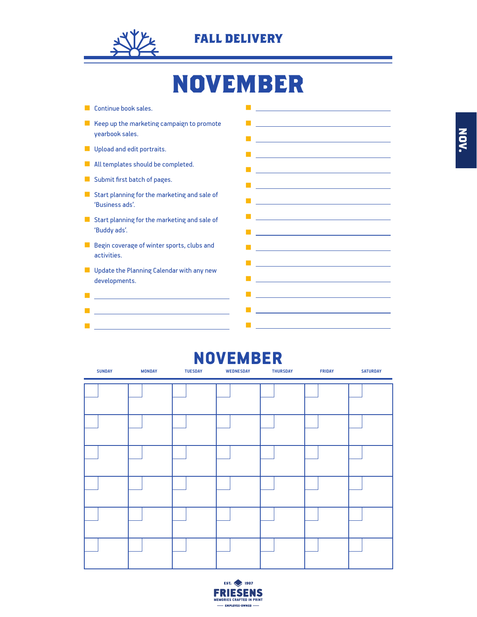

# **NOVEMBER**

- Continue book sales.
- Keep up the marketing campaign to promote yearbook sales.
- Upload and edit portraits.
- All templates should be completed.
- Submit first batch of pages.

■ <u>【 】 【 】 【 】</u>

- Start planning for the marketing and sale of 'Business ads'.
- Start planning for the marketing and sale of 'Buddy ads'.
- Begin coverage of winter sports, clubs and activities.
- Update the Planning Calendar with any new developments.



### NOVEMBER

| <b>SUNDAY</b> | <b>MONDAY</b> | <b>TUESDAY</b> | <b>WEDNESDAY</b> | <b>THURSDAY</b> | <b>FRIDAY</b> | <b>SATURDAY</b> |
|---------------|---------------|----------------|------------------|-----------------|---------------|-----------------|
|               |               |                |                  |                 |               |                 |
|               |               |                |                  |                 |               |                 |
|               |               |                |                  |                 |               |                 |
|               |               |                |                  |                 |               |                 |
|               |               |                |                  |                 |               |                 |
|               |               |                |                  |                 |               |                 |
|               |               |                |                  |                 |               |                 |
|               |               |                |                  |                 |               |                 |
|               |               |                |                  |                 |               |                 |
|               |               |                |                  |                 |               |                 |
|               |               |                |                  |                 |               |                 |
|               |               |                |                  |                 |               |                 |

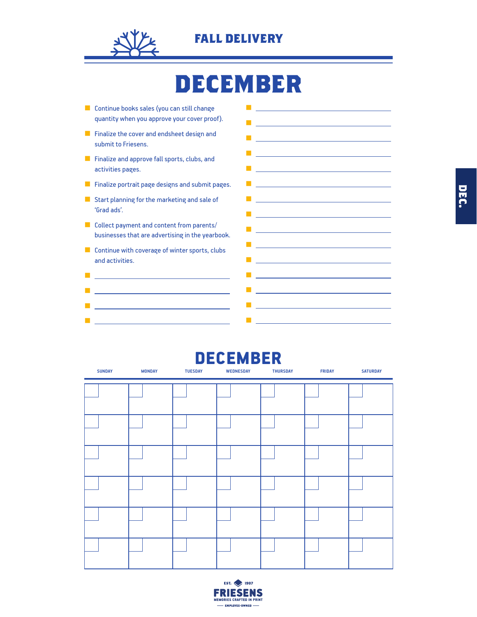

## **DECEMBER**

■ Continue books sales (you can still change quantity when you approve your cover proof). ■ Finalize the cover and endsheet design and submit to Friesens. ■ Finalize and approve fall sports, clubs, and activities pages. ■ Finalize portrait page designs and submit pages. ■ Start planning for the marketing and sale of 'Grad ads'. ■ Collect payment and content from parents/ businesses that are advertising in the yearbook. ■ Continue with coverage of winter sports, clubs and activities. ■ Professional Control of Control Control of **■ All Contracts and All Contracts** ■ Professional Control of Control Control of Control Control of Control Control of Control of Control of Control of ■ Professional Control of Control Control of ■ ■ Professional Control of Control Control of ■ <u>Contract</u> in the contract of ■ <u>production</u> and the control of the control of the control of the control of the control of the control of the ■ <u>Controller Controller</u> (Controller Controller) ■ <u>production and the control of</u> the control of the control of the control of the control of the control of the ■ Professional Control of Control Control of Control Control of Control Control of Control of Control of Control of ■ Professional District District District District District District District District District District District ■ <u>production and the control of</u> the control ■ <u>Constitution of the Constitution</u> ■ Professional Control of Control Control of ■ production in the control of the control of the control of the control of the control of the control of the control of the control of the control of the control of the control of the control of the control of the contr ■ Control <u>Control Control Control Control</u> ■ ■ Profession School School School School School

### DECEMBER

| <b>SUNDAY</b> | <b>MONDAY</b> | <b>TUESDAY</b> | <b>WEDNESDAY</b> | <b>THURSDAY</b> | <b>FRIDAY</b> | <b>SATURDAY</b> |
|---------------|---------------|----------------|------------------|-----------------|---------------|-----------------|
|               |               |                |                  |                 |               |                 |
|               |               |                |                  |                 |               |                 |
|               |               |                |                  |                 |               |                 |
|               |               |                |                  |                 |               |                 |
|               |               |                |                  |                 |               |                 |
|               |               |                |                  |                 |               |                 |
|               |               |                |                  |                 |               |                 |
|               |               |                |                  |                 |               |                 |
|               |               |                |                  |                 |               |                 |
|               |               |                |                  |                 |               |                 |
|               |               |                |                  |                 |               |                 |
|               |               |                |                  |                 |               |                 |

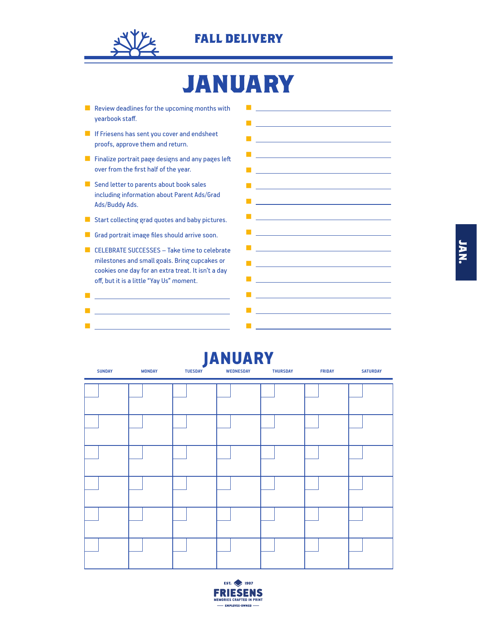

# **JANUARY**

- Review deadlines for the upcoming months with yearbook staff.
- If Friesens has sent you cover and endsheet proofs, approve them and return.
- **■** Finalize portrait page designs and any pages left over from the first half of the year.
- Send letter to parents about book sales including information about Parent Ads/Grad Ads/Buddy Ads.
- Start collecting grad quotes and baby pictures.
- Grad portrait image files should arrive soon.
- CELEBRATE SUCCESSES Take time to celebrate milestones and small goals. Bring cupcakes or cookies one day for an extra treat. It isn't a day off, but it is a little "Yay Us" moment.

■ <u>product to the control of the control</u> ■ <u>Construction of the Construction</u> ■ <u>Construction of the Construction</u>



| <b>JANUARY</b><br><b>SUNDAY</b><br><b>MONDAY</b><br><b>TUESDAY</b><br><b>WEDNESDAY</b><br><b>THURSDAY</b><br><b>FRIDAY</b><br><b>SATURDAY</b> |  |  |  |  |  |  |  |  |  |  |
|-----------------------------------------------------------------------------------------------------------------------------------------------|--|--|--|--|--|--|--|--|--|--|
|                                                                                                                                               |  |  |  |  |  |  |  |  |  |  |
|                                                                                                                                               |  |  |  |  |  |  |  |  |  |  |
|                                                                                                                                               |  |  |  |  |  |  |  |  |  |  |
|                                                                                                                                               |  |  |  |  |  |  |  |  |  |  |
|                                                                                                                                               |  |  |  |  |  |  |  |  |  |  |
|                                                                                                                                               |  |  |  |  |  |  |  |  |  |  |



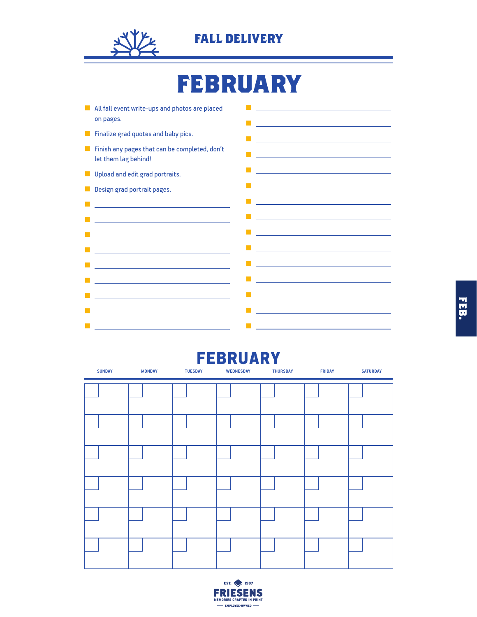

# **FEBRUARY**

■ All fall event write-ups and photos are placed on pages. ■ Finalize grad quotes and baby pics. ■ Finish any pages that can be completed, don't let them lag behind! **■** Upload and edit grad portraits. ■ Design grad portrait pages. ■ Windows 2000 Professional Control of the ■ Windows 2000 Protection 2000 Protection ■ ■ ■ ■ ■ Windows 2000 Professional Control of the Control of the Control of the Control of the Control of the Control of the Control of the Control of the Control of the Control of the Control of the Control of the Control of th ■ Windows 2002 - The Control of the Control of the ■ <u>Construction of the Construction</u> ■ ■ Product in the Contract of the Contract of the ■ product in the control of the control of the control of the control of the control of ■ Professional Control of Control Control of ■ ■ <u>Contract</u> Contract Contract ■ Profession School School School School School **■ Product District District** District District ■ product in the control of the control of the control of the control of the control of **■** 【 】 【 】 【 】 】 【 】 】 【 】 】 【 】 】 【 】 】 【 】 】 【 】 】 【 】 】 【 】 】 【 】 】 【 】 】 【 】 】 【 】 】 【 】 】 【 】 】 【 】 】 【 】 】 【 】 】 【 】 】 【 】 】 【 】 】 【 】 】 【 】 】 【 】 】 【 】 】 【 】 】 【 】 】 【 】 】 【 】 】 【 】 】 【 】 】 【 】 】 【 】 】 【 】 】 【 】 】 ■ Professional District District District District District ■ <u>Construction of the Construction</u> ■ <u>production and the control of</u> the control of ■ Professional Control of Control of Control of Control of Control of Control of Control of Control of Control of Control of Control of Control of Control of Control of Control of Control of Control of Control of Control ■ <u>Control</u> in the control of

### FEBRUARY

| <b>SUNDAY</b> | <b>MONDAY</b> | <b>TUESDAY</b> | <b>WEDNESDAY</b> | <b>THURSDAY</b> | <b>FRIDAY</b> | <b>SATURDAY</b> |
|---------------|---------------|----------------|------------------|-----------------|---------------|-----------------|
|               |               |                |                  |                 |               |                 |
|               |               |                |                  |                 |               |                 |
|               |               |                |                  |                 |               |                 |
|               |               |                |                  |                 |               |                 |
|               |               |                |                  |                 |               |                 |
|               |               |                |                  |                 |               |                 |
|               |               |                |                  |                 |               |                 |
|               |               |                |                  |                 |               |                 |
|               |               |                |                  |                 |               |                 |
|               |               |                |                  |                 |               |                 |
|               |               |                |                  |                 |               |                 |
|               |               |                |                  |                 |               |                 |

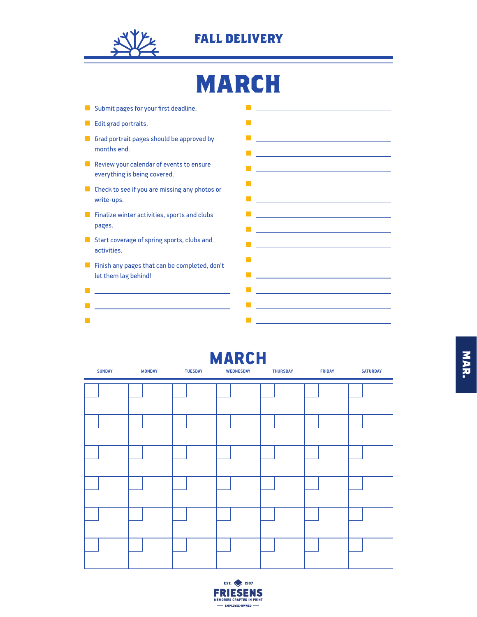

# **MARCH**

■ Submit pages for your first deadline. ■ Edit grad portraits. ■ Grad portrait pages should be approved by months end. ■ Review your calendar of events to ensure everything is being covered. ■ Check to see if you are missing any photos or write-ups. ■ Finalize winter activities, sports and clubs pages. ■ Start coverage of spring sports, clubs and activities. ■ Finish any pages that can be completed, don't let them lag behind! ■ <u>product</u> to the control of the control of the ■ <u>product</u> to the control of the control of the ■ Professional Control of Control of Control of ■ ■■ Professional District District District District District District District D ■ ■ production in the control of the control of the control of the control of the control of the control of the control of the control of the control of the control of the control of the control of the control of the contr ■ <u>Contractor</u> in the contractor ■ <u>Constitution of the Constitution of</u> the Constitution of the Constitution of the Constitution of the Constitution ■ Professional Control of Control Control of Control Control of Control Control of Control of Control of Control of ■ Professional District District District District District ■ Professional Control of Control Control of Control Control of Control Control of Control of Control of Control of Control of Control of Control of Control of Control of Control of Control of Control of Control of Contro ■ Profession School School School School School ■ <u>Constitution of the Constitution</u> ■ <u>Construction of the Construction of</u> ■ Control <u>Control Control Control Control</u> ■

# ■ Professional Control of Control Control of Control Control of Control Control of Control of Control of Control of Control of Control of Control of Control of Control of Control of Control of Control of Control of Contro

|               |               |                | <u>МАКСП</u>     |                 |               |                 |  |
|---------------|---------------|----------------|------------------|-----------------|---------------|-----------------|--|
| <b>SUNDAY</b> | <b>MONDAY</b> | <b>TUESDAY</b> | <b>WEDNESDAY</b> | <b>THURSDAY</b> | <b>FRIDAY</b> | <b>SATURDAY</b> |  |
|               |               |                |                  |                 |               |                 |  |
|               |               |                |                  |                 |               |                 |  |
|               |               |                |                  |                 |               |                 |  |
|               |               |                |                  |                 |               |                 |  |
|               |               |                |                  |                 |               |                 |  |
|               |               |                |                  |                 |               |                 |  |
|               |               |                |                  |                 |               |                 |  |
|               |               |                |                  |                 |               |                 |  |
|               |               |                |                  |                 |               |                 |  |
|               |               |                |                  |                 |               |                 |  |

**MARCH** 

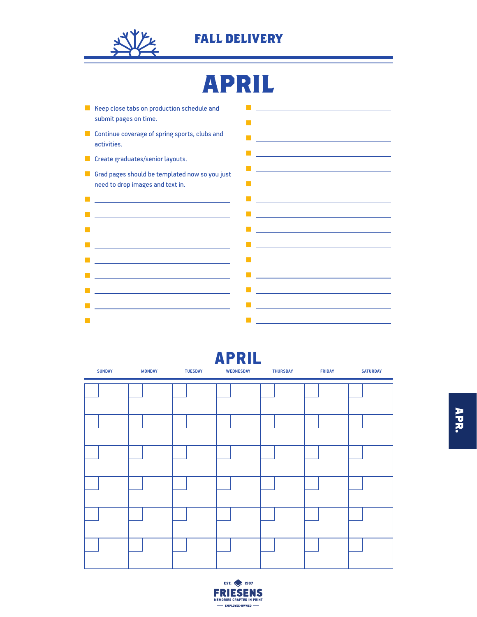

# **APRIL**

| Keep close tabs on production schedule and<br>submit pages on time.                                                   | <u> 1980 - Johann John Stein, marwolaeth a bhann an t-Amhainn an t-Amhainn an t-Amhainn an t-Amhainn an t-Amhain</u>                                                               |
|-----------------------------------------------------------------------------------------------------------------------|------------------------------------------------------------------------------------------------------------------------------------------------------------------------------------|
| Continue coverage of spring sports, clubs and<br>activities.                                                          |                                                                                                                                                                                    |
| Create graduates/senior layouts.                                                                                      | <u> 1980 - Johann Barn, amerikansk politiker (d. 1980)</u>                                                                                                                         |
| Grad pages should be templated now so you just<br>need to drop images and text in.                                    | <u> Alexandria de la contrada de la contrada de la contrada de la contrada de la contrada de la contrada de la c</u><br><u> 1989 - Johann Stein, mars an de Brasilia (b. 1989)</u> |
| <u> 1989 - Johann Barn, mars ann an t-Amhain an t-Amhain an t-Amhain an t-Amhain an t-Amhain an t-Amhain an t-Amh</u> |                                                                                                                                                                                    |
| <u> 1989 - Johann Barn, mars ann an t-Amhain an t-Amhain an t-Amhain an t-Amhain an t-Amhain an t-Amhain an t-A</u>   | <u> 1989 - Johann Barn, mars ann an t-Amhain an t-Amhain an t-Amhain an t-Amhain an t-Amhain an t-Amhain an t-Amh</u>                                                              |
| the control of the control of the control of the control of the control of the control of                             | <u> 1989 - Johann Barn, mars ann an t-Amhain Aonaich an t-Aonaich an t-Aonaich ann an t-Aonaich an t-Aonaich an t-</u>                                                             |
| the control of the control of the control of the control of the                                                       | <u> 1980 - Johann Barn, mars ann an t-Amhain an t-Amhain an t-Amhain an t-Amhain an t-Amhain an t-Amhain an t-A</u>                                                                |
| <u> 1989 - Andrea Stadt Britain, amerikansk politiker (</u>                                                           | <u> 1980 - Johann Stoff, fransk politik (d. 1980)</u>                                                                                                                              |
|                                                                                                                       | <u> 1980 - Johann Barn, mars ann an t-Amhain an t-Amhain an t-Amhain an t-Amhain an t-Amhain an t-Amhain an t-A</u>                                                                |
| <u> 1989 - Johann Barn, mars eta bainar eta idazlea (h. 1989).</u>                                                    | the control of the control of the control of the control of the control of the control of                                                                                          |
| the contract of the contract of the contract of the contract of the contract of                                       | the control of the control of the control of the control of the control of the control of                                                                                          |
| <u> 1989 - Johann Barn, mars ann an t-Amhain an t-Amhain an t-Amhain an t-Amhain an t-Amhain an t-Amhain an t-Amh</u> | <u> 1989 - Johann Barn, mars ann an t-Amhain an t-Amhain an t-Amhain an t-Amhain an t-Amhain an t-Amhain an t-Amh</u>                                                              |

### APRIL

| <b>SUNDAY</b> | <b>MONDAY</b> | <b>TUESDAY</b> | <b>WEDNESDAY</b> | <b>THURSDAY</b> | <b>FRIDAY</b> | <b>SATURDAY</b> |
|---------------|---------------|----------------|------------------|-----------------|---------------|-----------------|
|               |               |                |                  |                 |               |                 |
|               |               |                |                  |                 |               |                 |
|               |               |                |                  |                 |               |                 |
|               |               |                |                  |                 |               |                 |
|               |               |                |                  |                 |               |                 |
|               |               |                |                  |                 |               |                 |

**APR.**

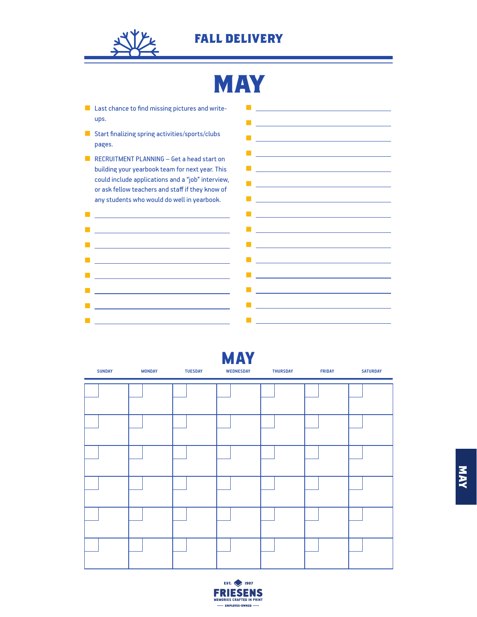

■

**FALL DELIVERY**

# **MAY**

■

- Last chance to find missing pictures and writeups.
- Start finalizing spring activities/sports/clubs pages.
- RECRUITMENT PLANNING Get a head start on building your yearbook team for next year. This could include applications and a "job" interview, or ask fellow teachers and staff if they know of any students who would do well in yearbook.



■ Profession School School School School School

| <b>SUNDAY</b> | <b>MONDAY</b> | <b>TUESDAY</b> | <b>MAY</b><br><b>WEDNESDAY</b> | <b>THURSDAY</b> | <b>FRIDAY</b> | <b>SATURDAY</b> |
|---------------|---------------|----------------|--------------------------------|-----------------|---------------|-----------------|
|               |               |                |                                |                 |               |                 |
|               |               |                |                                |                 |               |                 |
|               |               |                |                                |                 |               |                 |
|               |               |                |                                |                 |               |                 |
|               |               |                |                                |                 |               |                 |
|               |               |                |                                |                 |               |                 |

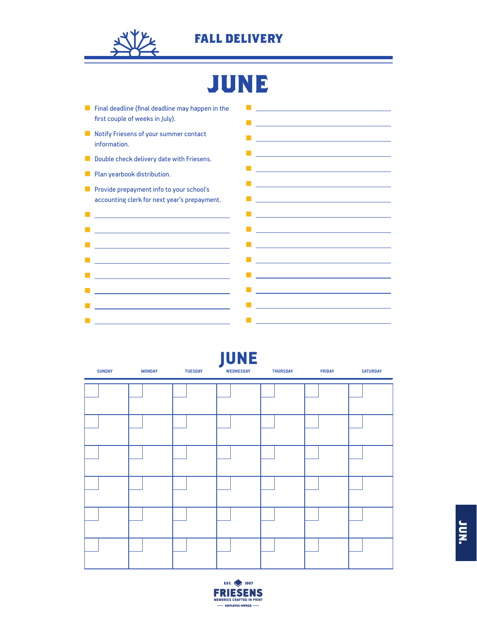

# **JUNE**

| Final deadline (final deadline may happen in the<br>first couple of weeks in July).<br><u> 1989 - Johann Barbara, martxa alemaniar arg</u>                                                                                                                                       |  |
|----------------------------------------------------------------------------------------------------------------------------------------------------------------------------------------------------------------------------------------------------------------------------------|--|
| Notify Friesens of your summer contact<br><u> 1989 - Johann Stein, marwolaethau a bhann an t-Amhainn an t-Amhainn an t-Amhainn an t-Amhainn an t-Amhainn a</u><br>information.                                                                                                   |  |
| <u> 1989 - Johann Stein, marwolaethau a bhann an t-Albann an t-Albann an t-Albann an t-Albann an t-Albann an t-Alb</u><br>Double check delivery date with Friesens.                                                                                                              |  |
| <u> 1989 - Jan Sterling and Sterling and Sterling and Sterling and Sterling and Sterling and Sterling and Sterling and Sterling and Sterling and Sterling and Sterling and Sterling and Sterling and Sterling and Sterling and S</u><br>Plan yearbook distribution.              |  |
| <u> 1989 - Johann Barn, amerikansk politiker (d. 1989)</u><br>Provide prepayment info to your school's<br>accounting clerk for next year's prepayment.<br><u> 1989 - Johann Stein, marwolaethau a bhann an t-Albann an t-Albann an t-Albann an t-Albann an t-Albann an t-Alb</u> |  |
| <u> 1989 - Johann Barn, mars eta bainar eta idazlea (</u><br><u> 1989 - Johann Barn, mars ann an t-Amhain ann an t-Amhain an t-Amhain an t-Amhain an t-Amhain an t-Amhain an t-</u>                                                                                              |  |
| <u> 1989 - Johann Barn, fransk politik amerikansk politik (</u><br><u> 1989 - Johann Barbara, martxa alemaniar amerikan basar da a</u>                                                                                                                                           |  |
| <u> 1989 - Johann Barn, mars eta bainar eta idazlea (</u><br><u> 1989 - Johann Barn, mars eta bainar eta baina eta baina eta baina eta baina eta baina eta baina eta baina e</u>                                                                                                 |  |
| <u> 1989 - Johann Barn, mars ann an t-Amhain Aonaich an t-Aonaich an t-Aonaich an t-Aonaich an t-Aonaich an t-Aon</u><br><u> 1989 - Johann Stein, marwolaethau (b. 1989)</u>                                                                                                     |  |
| <u> 1989 - Johann Barn, mars eta bainar eta idazlea (</u><br><u> 1989 - Johann Barn, mars eta bainar eta baina eta baina eta baina eta baina eta baina eta baina eta baina e</u>                                                                                                 |  |
| <u> 1989 - Johann Barn, mars ann an t-Amhain Aonaich an t-Aonaich an t-Aonaich an t-Aonaich an t-Aonaich an t-Aon</u><br><u> 1989 - Johann Barbara, martxa alemaniar a</u>                                                                                                       |  |
| <u> 1989 - Johann Barn, mars eta bainar eta idazlea (</u><br>the control of the control of the control of the control of                                                                                                                                                         |  |
|                                                                                                                                                                                                                                                                                  |  |
| <u> 1989 - Johann Barn, mars ann an t-Amhair an t-Amhair an t-Amhair an t-Amhair an t-Amhair an t-Amhair an t-A</u><br>the control of the control of the control of the control of the control of                                                                                |  |

| <b>SUNDAY</b> | <b>MONDAY</b> | <b>TUESDAY</b> | <b>JUNE</b><br><b>WEDNESDAY</b> | <b>THURSDAY</b> | <b>FRIDAY</b> | <b>SATURDAY</b> |
|---------------|---------------|----------------|---------------------------------|-----------------|---------------|-----------------|
|               |               |                |                                 |                 |               |                 |
|               |               |                |                                 |                 |               |                 |
|               |               |                |                                 |                 |               |                 |
|               |               |                |                                 |                 |               |                 |
|               |               |                |                                 |                 |               |                 |
|               |               |                |                                 |                 |               |                 |